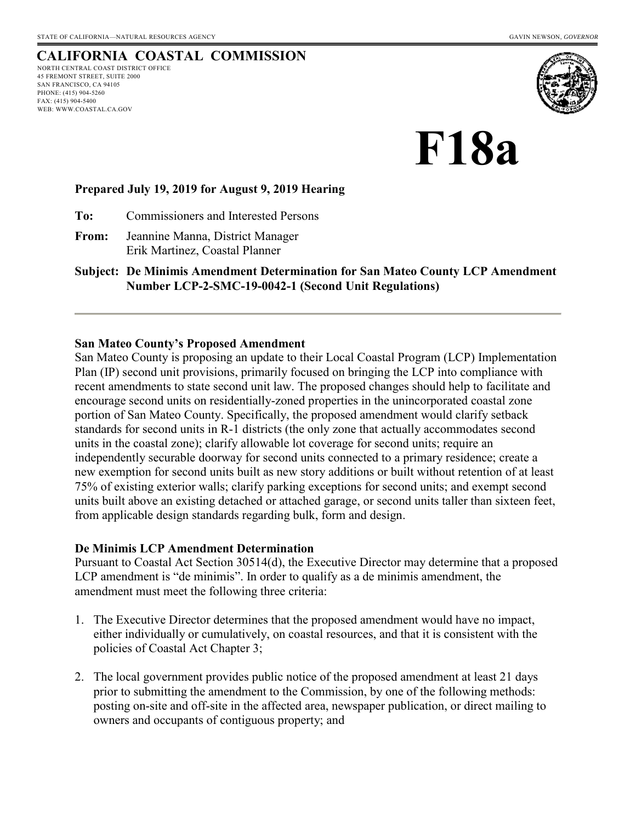### **CALIFORNIA COASTAL COMMISSION** NORTH CENTRAL COAST DISTRICT OFFICE

45 FREMONT STREET, SUITE 2000 SAN FRANCISCO, CA 94105 PHONE: (415) 904-5260 FAX: (415) 904-5400 WEB: WWW.COASTAL.CA.GOV



**F18a**

### **Prepared July 19, 2019 for August 9, 2019 Hearing**

**To:** Commissioners and Interested Persons

**From:** Jeannine Manna, District Manager Erik Martinez, Coastal Planner

**Subject: De Minimis Amendment Determination for San Mateo County LCP Amendment Number LCP-2-SMC-19-0042-1 (Second Unit Regulations)** 

### **San Mateo County's Proposed Amendment**

San Mateo County is proposing an update to their Local Coastal Program (LCP) Implementation Plan (IP) second unit provisions, primarily focused on bringing the LCP into compliance with recent amendments to state second unit law. The proposed changes should help to facilitate and encourage second units on residentially-zoned properties in the unincorporated coastal zone portion of San Mateo County. Specifically, the proposed amendment would clarify setback standards for second units in R-1 districts (the only zone that actually accommodates second units in the coastal zone); clarify allowable lot coverage for second units; require an independently securable doorway for second units connected to a primary residence; create a new exemption for second units built as new story additions or built without retention of at least 75% of existing exterior walls; clarify parking exceptions for second units; and exempt second units built above an existing detached or attached garage, or second units taller than sixteen feet, from applicable design standards regarding bulk, form and design.

#### **De Minimis LCP Amendment Determination**

Pursuant to Coastal Act Section 30514(d), the Executive Director may determine that a proposed LCP amendment is "de minimis". In order to qualify as a de minimis amendment, the amendment must meet the following three criteria:

- 1. The Executive Director determines that the proposed amendment would have no impact, either individually or cumulatively, on coastal resources, and that it is consistent with the policies of Coastal Act Chapter 3;
- 2. The local government provides public notice of the proposed amendment at least 21 days prior to submitting the amendment to the Commission, by one of the following methods: posting on-site and off-site in the affected area, newspaper publication, or direct mailing to owners and occupants of contiguous property; and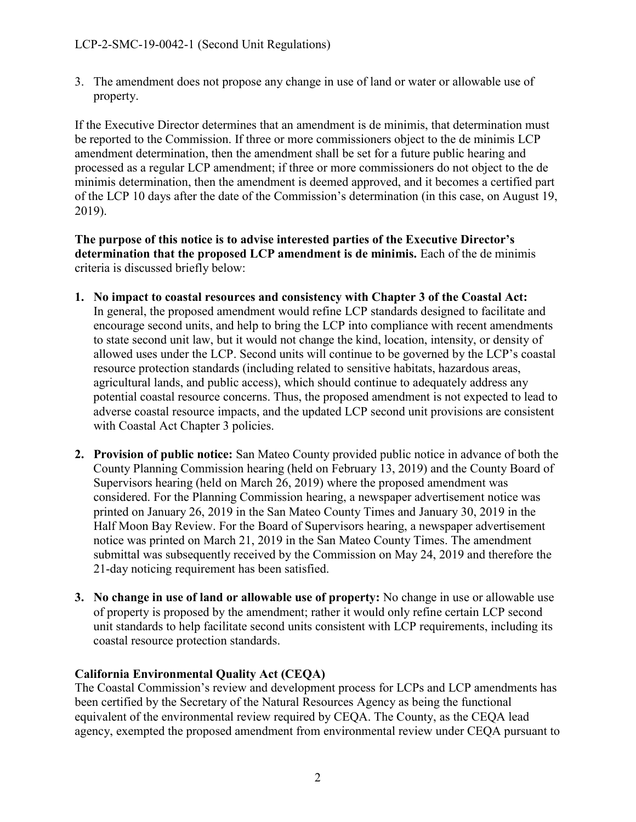3. The amendment does not propose any change in use of land or water or allowable use of property.

If the Executive Director determines that an amendment is de minimis, that determination must be reported to the Commission. If three or more commissioners object to the de minimis LCP amendment determination, then the amendment shall be set for a future public hearing and processed as a regular LCP amendment; if three or more commissioners do not object to the de minimis determination, then the amendment is deemed approved, and it becomes a certified part of the LCP 10 days after the date of the Commission's determination (in this case, on August 19, 2019).

**The purpose of this notice is to advise interested parties of the Executive Director's determination that the proposed LCP amendment is de minimis.** Each of the de minimis criteria is discussed briefly below:

- **1. No impact to coastal resources and consistency with Chapter 3 of the Coastal Act:**  In general, the proposed amendment would refine LCP standards designed to facilitate and encourage second units, and help to bring the LCP into compliance with recent amendments to state second unit law, but it would not change the kind, location, intensity, or density of allowed uses under the LCP. Second units will continue to be governed by the LCP's coastal resource protection standards (including related to sensitive habitats, hazardous areas, agricultural lands, and public access), which should continue to adequately address any potential coastal resource concerns. Thus, the proposed amendment is not expected to lead to adverse coastal resource impacts, and the updated LCP second unit provisions are consistent with Coastal Act Chapter 3 policies.
- **2. Provision of public notice:** San Mateo County provided public notice in advance of both the County Planning Commission hearing (held on February 13, 2019) and the County Board of Supervisors hearing (held on March 26, 2019) where the proposed amendment was considered. For the Planning Commission hearing, a newspaper advertisement notice was printed on January 26, 2019 in the San Mateo County Times and January 30, 2019 in the Half Moon Bay Review. For the Board of Supervisors hearing, a newspaper advertisement notice was printed on March 21, 2019 in the San Mateo County Times. The amendment submittal was subsequently received by the Commission on May 24, 2019 and therefore the 21-day noticing requirement has been satisfied.
- **3. No change in use of land or allowable use of property:** No change in use or allowable use of property is proposed by the amendment; rather it would only refine certain LCP second unit standards to help facilitate second units consistent with LCP requirements, including its coastal resource protection standards.

# **California Environmental Quality Act (CEQA)**

The Coastal Commission's review and development process for LCPs and LCP amendments has been certified by the Secretary of the Natural Resources Agency as being the functional equivalent of the environmental review required by CEQA. The County, as the CEQA lead agency, exempted the proposed amendment from environmental review under CEQA pursuant to